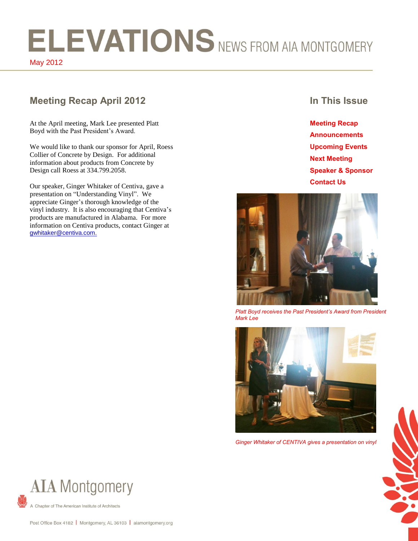# ELEVATIONS NEWS FROM AIA MONTGOMERY May 2012

# **Meeting Recap April 2012 In This Issue**

At the April meeting, Mark Lee presented Platt Boyd with the Past President's Award.

We would like to thank our sponsor for April, Roess Collier of Concrete by Design. For additional information about products from Concrete by Design call Roess at 334.799.2058.

Our speaker, Ginger Whitaker of Centiva, gave a presentation on "Understanding Vinyl". We appreciate Ginger's thorough knowledge of the vinyl industry. It is also encouraging that Centiva's products are manufactured in Alabama. For more information on Centiva products, contact Ginger at gwhitaker@centiva.com.

**Meeting Recap Announcements Upcoming Events Next Meeting Speaker & Sponsor Contact Us**



*Platt Boyd receives the Past President's Award from President Mark Lee*



*Ginger Whitaker of CENTIVA gives a presentation on vinyl*





Chapter of The American Institute of Architects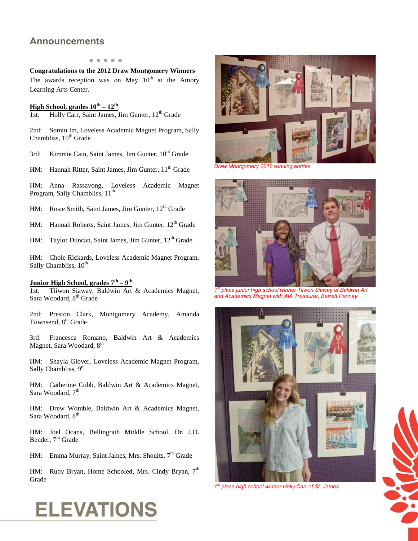## **Announcements**

#### **● ● ● ● ●**

**Congratulations to the 2012 Draw Montgomery Winners** The awards reception was on May  $10<sup>th</sup>$  at the Amory Learning Arts Center.

#### **High School, grades 10th – 12th**

1st: Holly Carr, Saint James, Jim Gunter, 12<sup>th</sup> Grade

2nd: Somin Im, Loveless Academic Magnet Program, Sally Chambliss,  $10<sup>th</sup>$  Grade

3rd: Kimmie Cain, Saint James, Jim Gunter, 10<sup>th</sup> Grade

HM: Hannah Ritter, Saint James, Jim Gunter, 11<sup>th</sup> Grade

HM: Anna Rassavong, Loveless Academic Magnet Program, Sally Chambliss, 11<sup>th</sup>

HM: Rosie Smith, Saint James, Jim Gunter, 12<sup>th</sup> Grade

HM: Hannah Roberts, Saint James, Jim Gunter, 12<sup>th</sup> Grade

HM: Taylor Duncan, Saint James, Jim Gunter, 12<sup>th</sup> Grade

HM: Chole Rickards, Loveless Academic Magnet Program, Sally Chambliss,  $10^{th}$ 

#### **Junior High School, grades 7th – 9 th**

1st: Tiiwon Siaway, Baldwin Art & Academics Magnet, Sara Woodard, 8<sup>th</sup> Grade

2nd: Preston Clark, Montgomery Academy, Amanda Townsend, 8<sup>th</sup> Grade

3rd: Francesca Romano, Baldwin Art & Academics Magnet, Sara Woodard, 8<sup>th</sup>

HM: Shayla Glover, Loveless Academic Magnet Program, Sally Chambliss, 9<sup>th</sup>

HM: Catherine Cobb, Baldwin Art & Academics Magnet, Sara Woodard, 7<sup>th</sup>

HM: Drew Womble, Baldwin Art & Academics Magnet, Sara Woodard, 8<sup>th</sup>

HM: Joel Ocana, Bellingrath Middle School, Dr. J.D. Bender, 7<sup>th</sup> Grade

HM: Emma Murray, Saint James, Mrs. Shoults, 7<sup>th</sup> Grade

HM: Ruby Bryan, Home Schooled, Mrs. Cindy Bryan, 7<sup>th</sup> Grade



*Draw Montgomery 2012 winning entries*



*1 st place junior high school winner Tiiwon Siaway of Baldwin Art and Academics Magnet with AIA Treasurer, Barrett Penney*



*1 st place high school winner Holly Carr of St. James* 



# **ELEVATIONS**